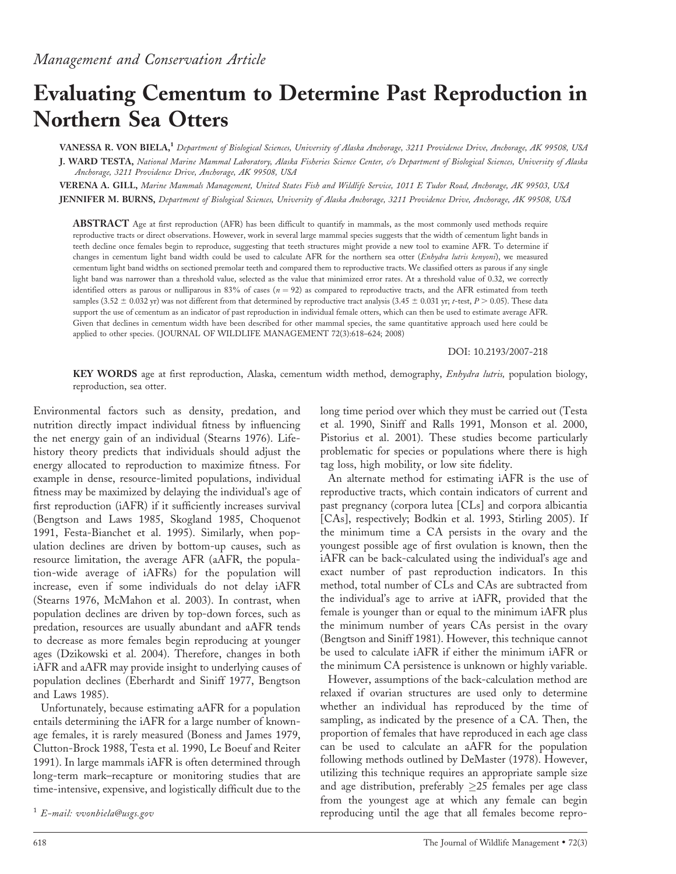# Evaluating Cementum to Determine Past Reproduction in Northern Sea Otters

VANESSA R. VON BIELA,<sup>1</sup> Department of Biological Sciences, University of Alaska Anchorage, 3211 Providence Drive, Anchorage, AK 99508, USA J. WARD TESTA, National Marine Mammal Laboratory, Alaska Fisheries Science Center, c/o Department of Biological Sciences, University of Alaska

Anchorage, 3211 Providence Drive, Anchorage, AK 99508, USA

VERENA A. GILL, Marine Mammals Management, United States Fish and Wildlife Service, 1011 E Tudor Road, Anchorage, AK 99503, USA JENNIFER M. BURNS, Department of Biological Sciences, University of Alaska Anchorage, 3211 Providence Drive, Anchorage, AK 99508, USA

ABSTRACT Age at first reproduction (AFR) has been difficult to quantify in mammals, as the most commonly used methods require reproductive tracts or direct observations. However, work in several large mammal species suggests that the width of cementum light bands in teeth decline once females begin to reproduce, suggesting that teeth structures might provide a new tool to examine AFR. To determine if changes in cementum light band width could be used to calculate AFR for the northern sea otter (Enhydra lutris kenyoni), we measured cementum light band widths on sectioned premolar teeth and compared them to reproductive tracts. We classified otters as parous if any single light band was narrower than a threshold value, selected as the value that minimized error rates. At a threshold value of 0.32, we correctly identified otters as parous or nulliparous in 83% of cases  $(n = 92)$  as compared to reproductive tracts, and the AFR estimated from teeth samples (3.52  $\pm$  0.032 yr) was not different from that determined by reproductive tract analysis (3.45  $\pm$  0.031 yr; t-test, P > 0.05). These data support the use of cementum as an indicator of past reproduction in individual female otters, which can then be used to estimate average AFR. Given that declines in cementum width have been described for other mammal species, the same quantitative approach used here could be applied to other species. (JOURNAL OF WILDLIFE MANAGEMENT 72(3):618–624; 2008)

DOI: 10.2193/2007-218

KEY WORDS age at first reproduction, Alaska, cementum width method, demography, *Enhydra lutris*, population biology, reproduction, sea otter.

Environmental factors such as density, predation, and nutrition directly impact individual fitness by influencing the net energy gain of an individual (Stearns 1976). Lifehistory theory predicts that individuals should adjust the energy allocated to reproduction to maximize fitness. For example in dense, resource-limited populations, individual fitness may be maximized by delaying the individual's age of first reproduction (iAFR) if it sufficiently increases survival (Bengtson and Laws 1985, Skogland 1985, Choquenot 1991, Festa-Bianchet et al. 1995). Similarly, when population declines are driven by bottom-up causes, such as resource limitation, the average AFR (aAFR, the population-wide average of iAFRs) for the population will increase, even if some individuals do not delay iAFR (Stearns 1976, McMahon et al. 2003). In contrast, when population declines are driven by top-down forces, such as predation, resources are usually abundant and aAFR tends to decrease as more females begin reproducing at younger ages (Dzikowski et al. 2004). Therefore, changes in both iAFR and aAFR may provide insight to underlying causes of population declines (Eberhardt and Siniff 1977, Bengtson and Laws 1985).

Unfortunately, because estimating aAFR for a population entails determining the iAFR for a large number of knownage females, it is rarely measured (Boness and James 1979, Clutton-Brock 1988, Testa et al. 1990, Le Boeuf and Reiter 1991). In large mammals iAFR is often determined through long-term mark–recapture or monitoring studies that are time-intensive, expensive, and logistically difficult due to the long time period over which they must be carried out (Testa et al. 1990, Siniff and Ralls 1991, Monson et al. 2000, Pistorius et al. 2001). These studies become particularly problematic for species or populations where there is high tag loss, high mobility, or low site fidelity.

An alternate method for estimating iAFR is the use of reproductive tracts, which contain indicators of current and past pregnancy (corpora lutea [CLs] and corpora albicantia [CAs], respectively; Bodkin et al. 1993, Stirling 2005). If the minimum time a CA persists in the ovary and the youngest possible age of first ovulation is known, then the iAFR can be back-calculated using the individual's age and exact number of past reproduction indicators. In this method, total number of CLs and CAs are subtracted from the individual's age to arrive at iAFR, provided that the female is younger than or equal to the minimum iAFR plus the minimum number of years CAs persist in the ovary (Bengtson and Siniff 1981). However, this technique cannot be used to calculate iAFR if either the minimum iAFR or the minimum CA persistence is unknown or highly variable.

However, assumptions of the back-calculation method are relaxed if ovarian structures are used only to determine whether an individual has reproduced by the time of sampling, as indicated by the presence of a CA. Then, the proportion of females that have reproduced in each age class can be used to calculate an aAFR for the population following methods outlined by DeMaster (1978). However, utilizing this technique requires an appropriate sample size and age distribution, preferably  $\geq$ 25 females per age class from the youngest age at which any female can begin <sup>1</sup> E-mail: vvonbiela@usgs.gov **1** E-mail: vvonbiela@usgs.gov **1** C-mail: **1** E-mail: vvonbiela@usgs.gov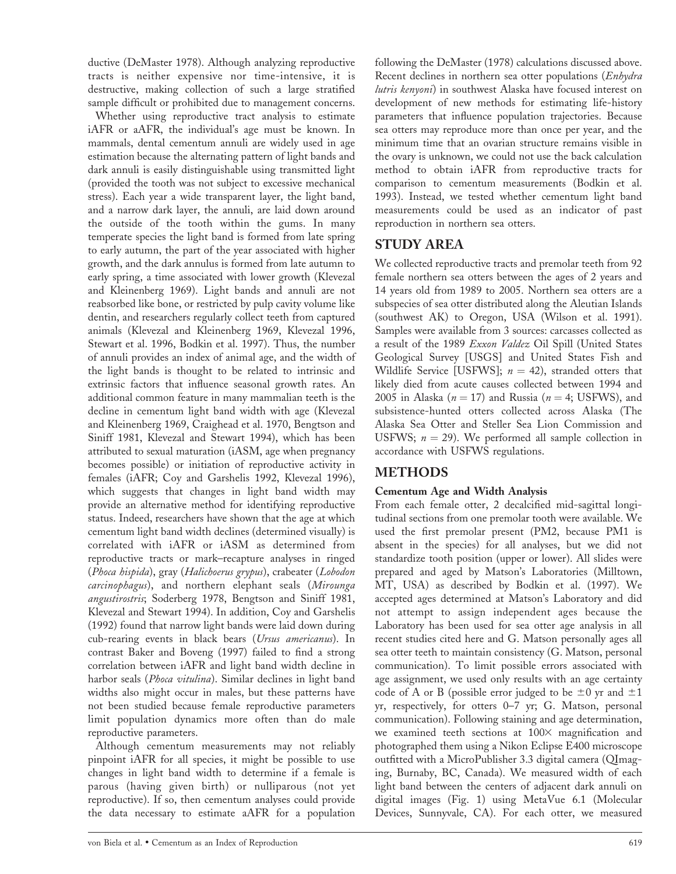ductive (DeMaster 1978). Although analyzing reproductive tracts is neither expensive nor time-intensive, it is destructive, making collection of such a large stratified sample difficult or prohibited due to management concerns.

Whether using reproductive tract analysis to estimate iAFR or aAFR, the individual's age must be known. In mammals, dental cementum annuli are widely used in age estimation because the alternating pattern of light bands and dark annuli is easily distinguishable using transmitted light (provided the tooth was not subject to excessive mechanical stress). Each year a wide transparent layer, the light band, and a narrow dark layer, the annuli, are laid down around the outside of the tooth within the gums. In many temperate species the light band is formed from late spring to early autumn, the part of the year associated with higher growth, and the dark annulus is formed from late autumn to early spring, a time associated with lower growth (Klevezal and Kleinenberg 1969). Light bands and annuli are not reabsorbed like bone, or restricted by pulp cavity volume like dentin, and researchers regularly collect teeth from captured animals (Klevezal and Kleinenberg 1969, Klevezal 1996, Stewart et al. 1996, Bodkin et al. 1997). Thus, the number of annuli provides an index of animal age, and the width of the light bands is thought to be related to intrinsic and extrinsic factors that influence seasonal growth rates. An additional common feature in many mammalian teeth is the decline in cementum light band width with age (Klevezal and Kleinenberg 1969, Craighead et al. 1970, Bengtson and Siniff 1981, Klevezal and Stewart 1994), which has been attributed to sexual maturation (iASM, age when pregnancy becomes possible) or initiation of reproductive activity in females (iAFR; Coy and Garshelis 1992, Klevezal 1996), which suggests that changes in light band width may provide an alternative method for identifying reproductive status. Indeed, researchers have shown that the age at which cementum light band width declines (determined visually) is correlated with iAFR or iASM as determined from reproductive tracts or mark–recapture analyses in ringed (Phoca hispida), gray (Halichoerus grypus), crabeater (Lobodon carcinophagus), and northern elephant seals (Mirounga angustirostris; Soderberg 1978, Bengtson and Siniff 1981, Klevezal and Stewart 1994). In addition, Coy and Garshelis (1992) found that narrow light bands were laid down during cub-rearing events in black bears (Ursus americanus). In contrast Baker and Boveng (1997) failed to find a strong correlation between iAFR and light band width decline in harbor seals (Phoca vitulina). Similar declines in light band widths also might occur in males, but these patterns have not been studied because female reproductive parameters limit population dynamics more often than do male reproductive parameters.

Although cementum measurements may not reliably pinpoint iAFR for all species, it might be possible to use changes in light band width to determine if a female is parous (having given birth) or nulliparous (not yet reproductive). If so, then cementum analyses could provide the data necessary to estimate aAFR for a population

following the DeMaster (1978) calculations discussed above. Recent declines in northern sea otter populations (Enhydra lutris kenyoni) in southwest Alaska have focused interest on development of new methods for estimating life-history parameters that influence population trajectories. Because sea otters may reproduce more than once per year, and the minimum time that an ovarian structure remains visible in the ovary is unknown, we could not use the back calculation method to obtain iAFR from reproductive tracts for comparison to cementum measurements (Bodkin et al. 1993). Instead, we tested whether cementum light band measurements could be used as an indicator of past reproduction in northern sea otters.

## STUDY AREA

We collected reproductive tracts and premolar teeth from 92 female northern sea otters between the ages of 2 years and 14 years old from 1989 to 2005. Northern sea otters are a subspecies of sea otter distributed along the Aleutian Islands (southwest AK) to Oregon, USA (Wilson et al. 1991). Samples were available from 3 sources: carcasses collected as a result of the 1989 Exxon Valdez Oil Spill (United States Geological Survey [USGS] and United States Fish and Wildlife Service [USFWS];  $n = 42$ ), stranded otters that likely died from acute causes collected between 1994 and 2005 in Alaska ( $n = 17$ ) and Russia ( $n = 4$ ; USFWS), and subsistence-hunted otters collected across Alaska (The Alaska Sea Otter and Steller Sea Lion Commission and USFWS;  $n = 29$ ). We performed all sample collection in accordance with USFWS regulations.

## METHODS

## Cementum Age and Width Analysis

From each female otter, 2 decalcified mid-sagittal longitudinal sections from one premolar tooth were available. We used the first premolar present (PM2, because PM1 is absent in the species) for all analyses, but we did not standardize tooth position (upper or lower). All slides were prepared and aged by Matson's Laboratories (Milltown, MT, USA) as described by Bodkin et al. (1997). We accepted ages determined at Matson's Laboratory and did not attempt to assign independent ages because the Laboratory has been used for sea otter age analysis in all recent studies cited here and G. Matson personally ages all sea otter teeth to maintain consistency (G. Matson, personal communication). To limit possible errors associated with age assignment, we used only results with an age certainty code of A or B (possible error judged to be  $\pm 0$  yr and  $\pm 1$ yr, respectively, for otters 0–7 yr; G. Matson, personal communication). Following staining and age determination, we examined teeth sections at  $100\times$  magnification and photographed them using a Nikon Eclipse E400 microscope outfitted with a MicroPublisher 3.3 digital camera (QImaging, Burnaby, BC, Canada). We measured width of each light band between the centers of adjacent dark annuli on digital images (Fig. 1) using MetaVue 6.1 (Molecular Devices, Sunnyvale, CA). For each otter, we measured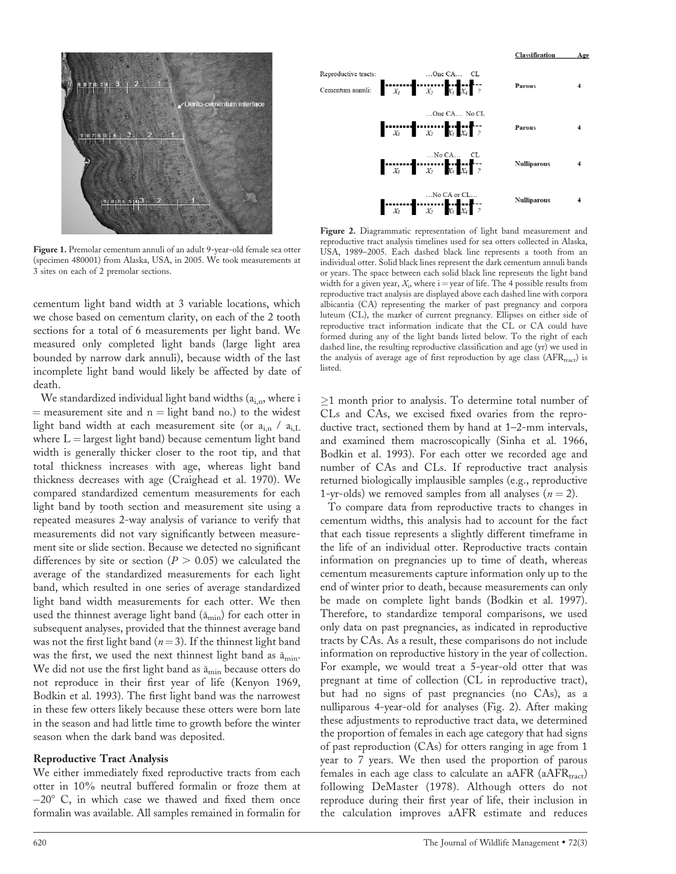

Figure 1. Premolar cementum annuli of an adult 9-year-old female sea otter (specimen 480001) from Alaska, USA, in 2005. We took measurements at 3 sites on each of 2 premolar sections.

cementum light band width at 3 variable locations, which we chose based on cementum clarity, on each of the 2 tooth sections for a total of 6 measurements per light band. We measured only completed light bands (large light area bounded by narrow dark annuli), because width of the last incomplete light band would likely be affected by date of death.

We standardized individual light band widths (a<sub>i,n</sub>, where i  $=$  measurement site and  $n =$  light band no.) to the widest light band width at each measurement site (or  $a_{i,n}$  /  $a_{i,L}$ where  $L =$  largest light band) because cementum light band width is generally thicker closer to the root tip, and that total thickness increases with age, whereas light band thickness decreases with age (Craighead et al. 1970). We compared standardized cementum measurements for each light band by tooth section and measurement site using a repeated measures 2-way analysis of variance to verify that measurements did not vary significantly between measurement site or slide section. Because we detected no significant differences by site or section ( $P > 0.05$ ) we calculated the average of the standardized measurements for each light band, which resulted in one series of average standardized light band width measurements for each otter. We then used the thinnest average light band  $(\bar{a}_{min})$  for each otter in subsequent analyses, provided that the thinnest average band was not the first light band ( $n=3$ ). If the thinnest light band was the first, we used the next thinnest light band as  $\bar{a}_{\text{min}}$ . We did not use the first light band as  $\bar{a}_{\text{min}}$  because otters do not reproduce in their first year of life (Kenyon 1969, Bodkin et al. 1993). The first light band was the narrowest in these few otters likely because these otters were born late in the season and had little time to growth before the winter season when the dark band was deposited.

#### Reproductive Tract Analysis

We either immediately fixed reproductive tracts from each otter in 10% neutral buffered formalin or froze them at  $-20^{\circ}$  C, in which case we thawed and fixed them once formalin was available. All samples remained in formalin for



Figure 2. Diagrammatic representation of light band measurement and reproductive tract analysis timelines used for sea otters collected in Alaska, USA, 1989–2005. Each dashed black line represents a tooth from an individual otter. Solid black lines represent the dark cementum annuli bands or years. The space between each solid black line represents the light band width for a given year,  $X_i$ , where  $i =$  year of life. The 4 possible results from reproductive tract analysis are displayed above each dashed line with corpora albicantia (CA) representing the marker of past pregnancy and corpora luteum (CL), the marker of current pregnancy. Ellipses on either side of reproductive tract information indicate that the CL or CA could have formed during any of the light bands listed below. To the right of each dashed line, the resulting reproductive classification and age (yr) we used in the analysis of average age of first reproduction by age class  $(AFR_{\text{tract}})$  is listed.

 $\geq$ 1 month prior to analysis. To determine total number of CLs and CAs, we excised fixed ovaries from the reproductive tract, sectioned them by hand at 1–2-mm intervals, and examined them macroscopically (Sinha et al. 1966, Bodkin et al. 1993). For each otter we recorded age and number of CAs and CLs. If reproductive tract analysis returned biologically implausible samples (e.g., reproductive 1-yr-olds) we removed samples from all analyses  $(n = 2)$ .

To compare data from reproductive tracts to changes in cementum widths, this analysis had to account for the fact that each tissue represents a slightly different timeframe in the life of an individual otter. Reproductive tracts contain information on pregnancies up to time of death, whereas cementum measurements capture information only up to the end of winter prior to death, because measurements can only be made on complete light bands (Bodkin et al. 1997). Therefore, to standardize temporal comparisons, we used only data on past pregnancies, as indicated in reproductive tracts by CAs. As a result, these comparisons do not include information on reproductive history in the year of collection. For example, we would treat a 5-year-old otter that was pregnant at time of collection (CL in reproductive tract), but had no signs of past pregnancies (no CAs), as a nulliparous 4-year-old for analyses (Fig. 2). After making these adjustments to reproductive tract data, we determined the proportion of females in each age category that had signs of past reproduction (CAs) for otters ranging in age from 1 year to 7 years. We then used the proportion of parous females in each age class to calculate an aAFR ( $aAFR_{\text{tract}}$ ) following DeMaster (1978). Although otters do not reproduce during their first year of life, their inclusion in the calculation improves aAFR estimate and reduces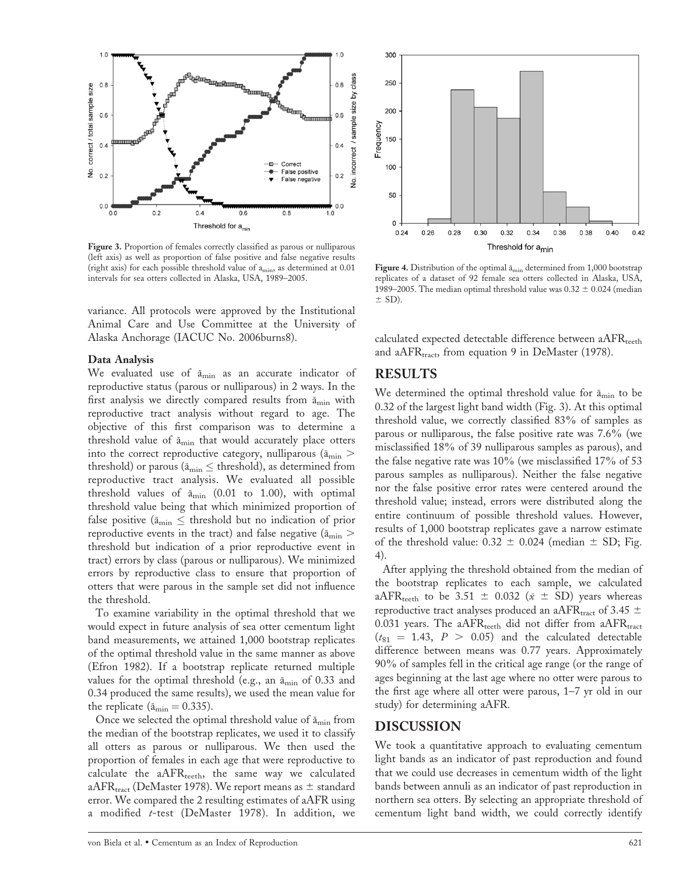

Figure 3. Proportion of females correctly classified as parous or nulliparous (left axis) as well as proportion of false positive and false negative results (right axis) for each possible threshold value of amin, as determined at 0.01 intervals for sea otters collected in Alaska, USA, 1989–2005.

variance. All protocols were approved by the Institutional Animal Care and Use Committee at the University of Alaska Anchorage (IACUC No. 2006burns8).

#### Data Analysis

We evaluated use of  $\bar{a}_{\min}$  as an accurate indicator of reproductive status (parous or nulliparous) in 2 ways. In the first analysis we directly compared results from  $\bar{a}_{min}$  with reproductive tract analysis without regard to age. The objective of this first comparison was to determine a threshold value of  $\bar{a}_{\min}$  that would accurately place otters into the correct reproductive category, nulliparous ( $\bar{a}_{\min}$  > threshold) or parous ( $\bar{a}_{\min} \leq$  threshold), as determined from reproductive tract analysis. We evaluated all possible threshold values of  $\bar{a}_{\text{min}}$  (0.01 to 1.00), with optimal threshold value being that which minimized proportion of false positive ( $\bar{a}_{\min} \leq$  threshold but no indication of prior reproductive events in the tract) and false negative ( $\bar{a}_{\min}$  > threshold but indication of a prior reproductive event in tract) errors by class (parous or nulliparous). We minimized errors by reproductive class to ensure that proportion of otters that were parous in the sample set did not influence the threshold.

To examine variability in the optimal threshold that we would expect in future analysis of sea otter cementum light band measurements, we attained 1,000 bootstrap replicates of the optimal threshold value in the same manner as above (Efron 1982). If a bootstrap replicate returned multiple values for the optimal threshold (e.g., an  $\bar{a}_{\text{min}}$  of 0.33 and 0.34 produced the same results), we used the mean value for the replicate ( $\bar{a}_{\text{min}} = 0.335$ ).

Once we selected the optimal threshold value of  $\bar{a}_{\text{min}}$  from the median of the bootstrap replicates, we used it to classify all otters as parous or nulliparous. We then used the proportion of females in each age that were reproductive to calculate the  $aAFR$ <sub>teeth</sub>, the same way we calculated a $AFR_{\text{tract}}$  (DeMaster 1978). We report means as  $\pm$  standard error. We compared the 2 resulting estimates of aAFR using a modified  $t$ -test (DeMaster 1978). In addition, we



Figure 4. Distribution of the optimal  $\bar{a}_{\text{min}}$  determined from 1,000 bootstrap replicates of a dataset of 92 female sea otters collected in Alaska, USA, 1989–2005. The median optimal threshold value was  $0.32 \pm 0.024$  (median  $\pm$  SD).

calculated expected detectable difference between  $aAFR_{teeth}$ and a $AFR_{\text{tract}}$ , from equation 9 in DeMaster (1978).

## RESULTS

We determined the optimal threshold value for  $\bar{a}_{\min}$  to be 0.32 of the largest light band width (Fig. 3). At this optimal threshold value, we correctly classified 83% of samples as parous or nulliparous, the false positive rate was 7.6% (we misclassified 18% of 39 nulliparous samples as parous), and the false negative rate was 10% (we misclassified 17% of 53 parous samples as nulliparous). Neither the false negative nor the false positive error rates were centered around the threshold value; instead, errors were distributed along the entire continuum of possible threshold values. However, results of 1,000 bootstrap replicates gave a narrow estimate of the threshold value:  $0.32 \pm 0.024$  (median  $\pm$  SD; Fig. 4).

After applying the threshold obtained from the median of the bootstrap replicates to each sample, we calculated aAFR<sub>teeth</sub> to be 3.51  $\pm$  0.032 ( $\bar{x} \pm$  SD) years whereas reproductive tract analyses produced an aAFR<sub>tract</sub> of 3.45  $\pm$ 0.031 years. The  $aAFR$ <sub>teeth</sub> did not differ from  $aAFR$ <sub>tract</sub>  $(t_{81} = 1.43, P > 0.05)$  and the calculated detectable difference between means was 0.77 years. Approximately 90% of samples fell in the critical age range (or the range of ages beginning at the last age where no otter were parous to the first age where all otter were parous, 1–7 yr old in our study) for determining aAFR.

## DISCUSSION

We took a quantitative approach to evaluating cementum light bands as an indicator of past reproduction and found that we could use decreases in cementum width of the light bands between annuli as an indicator of past reproduction in northern sea otters. By selecting an appropriate threshold of cementum light band width, we could correctly identify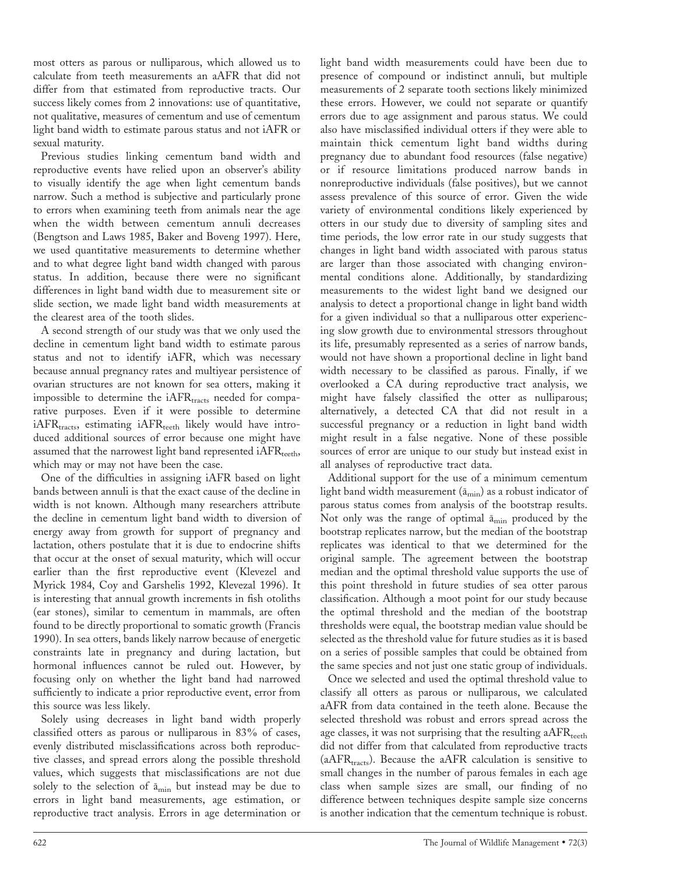most otters as parous or nulliparous, which allowed us to calculate from teeth measurements an aAFR that did not differ from that estimated from reproductive tracts. Our success likely comes from 2 innovations: use of quantitative, not qualitative, measures of cementum and use of cementum light band width to estimate parous status and not iAFR or sexual maturity.

Previous studies linking cementum band width and reproductive events have relied upon an observer's ability to visually identify the age when light cementum bands narrow. Such a method is subjective and particularly prone to errors when examining teeth from animals near the age when the width between cementum annuli decreases (Bengtson and Laws 1985, Baker and Boveng 1997). Here, we used quantitative measurements to determine whether and to what degree light band width changed with parous status. In addition, because there were no significant differences in light band width due to measurement site or slide section, we made light band width measurements at the clearest area of the tooth slides.

A second strength of our study was that we only used the decline in cementum light band width to estimate parous status and not to identify iAFR, which was necessary because annual pregnancy rates and multiyear persistence of ovarian structures are not known for sea otters, making it impossible to determine the  $iAFR<sub>tracts</sub> needed$  for comparative purposes. Even if it were possible to determine iAFR<sub>tracts</sub>, estimating iAFR<sub>teeth</sub> likely would have introduced additional sources of error because one might have assumed that the narrowest light band represented  $iAFR$ <sub>teeth</sub>, which may or may not have been the case.

One of the difficulties in assigning iAFR based on light bands between annuli is that the exact cause of the decline in width is not known. Although many researchers attribute the decline in cementum light band width to diversion of energy away from growth for support of pregnancy and lactation, others postulate that it is due to endocrine shifts that occur at the onset of sexual maturity, which will occur earlier than the first reproductive event (Klevezel and Myrick 1984, Coy and Garshelis 1992, Klevezal 1996). It is interesting that annual growth increments in fish otoliths (ear stones), similar to cementum in mammals, are often found to be directly proportional to somatic growth (Francis 1990). In sea otters, bands likely narrow because of energetic constraints late in pregnancy and during lactation, but hormonal influences cannot be ruled out. However, by focusing only on whether the light band had narrowed sufficiently to indicate a prior reproductive event, error from this source was less likely.

Solely using decreases in light band width properly classified otters as parous or nulliparous in 83% of cases, evenly distributed misclassifications across both reproductive classes, and spread errors along the possible threshold values, which suggests that misclassifications are not due solely to the selection of  $\bar{a}_{min}$  but instead may be due to errors in light band measurements, age estimation, or reproductive tract analysis. Errors in age determination or light band width measurements could have been due to presence of compound or indistinct annuli, but multiple measurements of 2 separate tooth sections likely minimized these errors. However, we could not separate or quantify errors due to age assignment and parous status. We could also have misclassified individual otters if they were able to maintain thick cementum light band widths during pregnancy due to abundant food resources (false negative) or if resource limitations produced narrow bands in nonreproductive individuals (false positives), but we cannot assess prevalence of this source of error. Given the wide variety of environmental conditions likely experienced by otters in our study due to diversity of sampling sites and time periods, the low error rate in our study suggests that changes in light band width associated with parous status are larger than those associated with changing environmental conditions alone. Additionally, by standardizing measurements to the widest light band we designed our analysis to detect a proportional change in light band width for a given individual so that a nulliparous otter experiencing slow growth due to environmental stressors throughout its life, presumably represented as a series of narrow bands, would not have shown a proportional decline in light band width necessary to be classified as parous. Finally, if we overlooked a CA during reproductive tract analysis, we might have falsely classified the otter as nulliparous; alternatively, a detected CA that did not result in a successful pregnancy or a reduction in light band width might result in a false negative. None of these possible sources of error are unique to our study but instead exist in all analyses of reproductive tract data.

Additional support for the use of a minimum cementum light band width measurement  $(\bar{a}_{min})$  as a robust indicator of parous status comes from analysis of the bootstrap results. Not only was the range of optimal  $\bar{a}_{\text{min}}$  produced by the bootstrap replicates narrow, but the median of the bootstrap replicates was identical to that we determined for the original sample. The agreement between the bootstrap median and the optimal threshold value supports the use of this point threshold in future studies of sea otter parous classification. Although a moot point for our study because the optimal threshold and the median of the bootstrap thresholds were equal, the bootstrap median value should be selected as the threshold value for future studies as it is based on a series of possible samples that could be obtained from the same species and not just one static group of individuals.

Once we selected and used the optimal threshold value to classify all otters as parous or nulliparous, we calculated aAFR from data contained in the teeth alone. Because the selected threshold was robust and errors spread across the age classes, it was not surprising that the resulting  $aAFR_{\text{teeth}}$ did not differ from that calculated from reproductive tracts (aAFR $_{\text{tracks}}$ ). Because the aAFR calculation is sensitive to small changes in the number of parous females in each age class when sample sizes are small, our finding of no difference between techniques despite sample size concerns is another indication that the cementum technique is robust.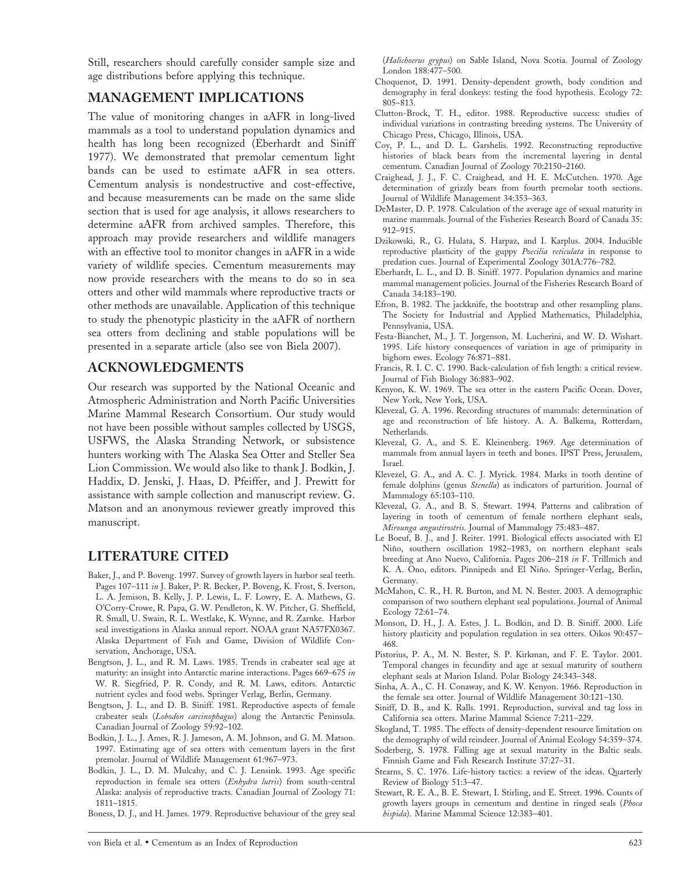Still, researchers should carefully consider sample size and age distributions before applying this technique.

## MANAGEMENT IMPLICATIONS

The value of monitoring changes in aAFR in long-lived mammals as a tool to understand population dynamics and health has long been recognized (Eberhardt and Siniff 1977). We demonstrated that premolar cementum light bands can be used to estimate aAFR in sea otters. Cementum analysis is nondestructive and cost-effective, and because measurements can be made on the same slide section that is used for age analysis, it allows researchers to determine aAFR from archived samples. Therefore, this approach may provide researchers and wildlife managers with an effective tool to monitor changes in aAFR in a wide variety of wildlife species. Cementum measurements may now provide researchers with the means to do so in sea otters and other wild mammals where reproductive tracts or other methods are unavailable. Application of this technique to study the phenotypic plasticity in the aAFR of northern sea otters from declining and stable populations will be presented in a separate article (also see von Biela 2007).

## ACKNOWLEDGMENTS

Our research was supported by the National Oceanic and Atmospheric Administration and North Pacific Universities Marine Mammal Research Consortium. Our study would not have been possible without samples collected by USGS, USFWS, the Alaska Stranding Network, or subsistence hunters working with The Alaska Sea Otter and Steller Sea Lion Commission. We would also like to thank J. Bodkin, J. Haddix, D. Jenski, J. Haas, D. Pfeiffer, and J. Prewitt for assistance with sample collection and manuscript review. G. Matson and an anonymous reviewer greatly improved this manuscript.

# LITERATURE CITED

- Baker, J., and P. Boveng. 1997. Survey of growth layers in harbor seal teeth. Pages 107–111 in J. Baker, P. R. Becker, P. Boveng, K. Frost, S. Iverson, L. A. Jemison, B. Kelly, J. P. Lewis, L. F. Lowry, E. A. Mathews, G. O'Corry-Crowe, R. Papa, G. W. Pendleton, K. W. Pitcher, G. Sheffield, R. Small, U. Swain, R. L. Westlake, K. Wynne, and R. Zarnke. Harbor seal investigations in Alaska annual report. NOAA grant NA57FX0367. Alaska Department of Fish and Game, Division of Wildlife Conservation, Anchorage, USA.
- Bengtson, J. L., and R. M. Laws. 1985. Trends in crabeater seal age at maturity: an insight into Antarctic marine interactions. Pages 669–675 in W. R. Siegfried, P. R. Condy, and R. M. Laws, editors. Antarctic nutrient cycles and food webs. Springer Verlag, Berlin, Germany.
- Bengtson, J. L., and D. B. Siniff. 1981. Reproductive aspects of female crabeater seals (Lobodon carcinophagus) along the Antarctic Peninsula. Canadian Journal of Zoology 59:92–102.
- Bodkin, J. L., J. Ames, R. J. Jameson, A. M. Johnson, and G. M. Matson. 1997. Estimating age of sea otters with cementum layers in the first premolar. Journal of Wildlife Management 61:967–973.
- Bodkin, J. L., D. M. Mulcahy, and C. J. Lensink. 1993. Age specific reproduction in female sea otters (Enhydra lutris) from south-central Alaska: analysis of reproductive tracts. Canadian Journal of Zoology 71: 1811–1815.

Boness, D. J., and H. James. 1979. Reproductive behaviour of the grey seal

(Halichoerus grypus) on Sable Island, Nova Scotia. Journal of Zoology London 188:477–500.

- Choquenot, D. 1991. Density-dependent growth, body condition and demography in feral donkeys: testing the food hypothesis. Ecology 72: 805–813.
- Clutton-Brock, T. H., editor. 1988. Reproductive success: studies of individual variations in contrasting breeding systems. The University of Chicago Press, Chicago, Illinois, USA.
- Coy, P. L., and D. L. Garshelis. 1992. Reconstructing reproductive histories of black bears from the incremental layering in dental cementum. Canadian Journal of Zoology 70:2150–2160.
- Craighead, J. J., F. C. Craighead, and H. E. McCutchen. 1970. Age determination of grizzly bears from fourth premolar tooth sections. Journal of Wildlife Management 34:353–363.
- DeMaster, D. P. 1978. Calculation of the average age of sexual maturity in marine mammals. Journal of the Fisheries Research Board of Canada 35: 912–915.
- Dzikowski, R., G. Hulata, S. Harpaz, and I. Karplus. 2004. Inducible reproductive plasticity of the guppy Poecilia reticulata in response to predation cues. Journal of Experimental Zoology 301A:776–782.
- Eberhardt, L. L., and D. B. Siniff. 1977. Population dynamics and marine mammal management policies. Journal of the Fisheries Research Board of Canada 34:183–190.
- Efron, B. 1982. The jackknife, the bootstrap and other resampling plans. The Society for Industrial and Applied Mathematics, Philadelphia, Pennsylvania, USA.
- Festa-Bianchet, M., J. T. Jorgenson, M. Lucherini, and W. D. Wishart. 1995. Life history consequences of variation in age of primiparity in bighorn ewes. Ecology 76:871–881.
- Francis, R. I. C. C. 1990. Back-calculation of fish length: a critical review. Journal of Fish Biology 36:883–902.
- Kenyon, K. W. 1969. The sea otter in the eastern Pacific Ocean. Dover, New York, New York, USA.
- Klevezal, G. A. 1996. Recording structures of mammals: determination of age and reconstruction of life history. A. A. Balkema, Rotterdam, Netherlands.
- Klevezal, G. A., and S. E. Kleinenberg. 1969. Age determination of mammals from annual layers in teeth and bones. IPST Press, Jerusalem, Israel.
- Klevezel, G. A., and A. C. J. Myrick. 1984. Marks in tooth dentine of female dolphins (genus Stenella) as indicators of parturition. Journal of Mammalogy 65:103–110.
- Klevezal, G. A., and B. S. Stewart. 1994. Patterns and calibration of layering in tooth of cementum of female northern elephant seals, Mirounga angustirostris. Journal of Mammalogy 75:483–487.
- Le Boeuf, B. J., and J. Reiter. 1991. Biological effects associated with El Niño, southern oscillation 1982-1983, on northern elephant seals breeding at Ano Nuevo, California. Pages 206–218 in F. Trillmich and K. A. Ono, editors. Pinnipeds and El Niño. Springer-Verlag, Berlin, Germany.
- McMahon, C. R., H. R. Burton, and M. N. Bester. 2003. A demographic comparison of two southern elephant seal populations. Journal of Animal Ecology 72:61–74.
- Monson, D. H., J. A. Estes, J. L. Bodkin, and D. B. Siniff. 2000. Life history plasticity and population regulation in sea otters. Oikos 90:457– 468.
- Pistorius, P. A., M. N. Bester, S. P. Kirkman, and F. E. Taylor. 2001. Temporal changes in fecundity and age at sexual maturity of southern elephant seals at Marion Island. Polar Biology 24:343–348.
- Sinha, A. A., C. H. Conaway, and K. W. Kenyon. 1966. Reproduction in the female sea otter. Journal of Wildlife Management 30:121–130.
- Siniff, D. B., and K. Ralls. 1991. Reproduction, survival and tag loss in California sea otters. Marine Mammal Science 7:211–229.
- Skogland, T. 1985. The effects of density-dependent resource limitation on the demography of wild reindeer. Journal of Animal Ecology 54:359–374.
- Soderberg, S. 1978. Falling age at sexual maturity in the Baltic seals. Finnish Game and Fish Research Institute 37:27–31.
- Stearns, S. C. 1976. Life-history tactics: a review of the ideas. Quarterly Review of Biology 51:3–47.
- Stewart, R. E. A., B. E. Stewart, I. Stirling, and E. Street. 1996. Counts of growth layers groups in cementum and dentine in ringed seals (Phoca hispida). Marine Mammal Science 12:383–401.